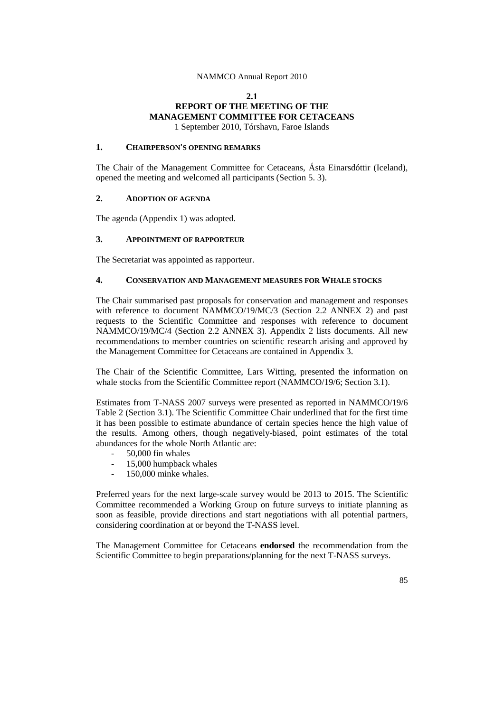## **2.1 REPORT OF THE MEETING OF THE MANAGEMENT COMMITTEE FOR CETACEANS** 1 September 2010, Tórshavn, Faroe Islands

## **1. CHAIRPERSON'S OPENING REMARKS**

The Chair of the Management Committee for Cetaceans, Ásta Einarsdóttir (Iceland), opened the meeting and welcomed all participants (Section 5. 3).

## **2. ADOPTION OF AGENDA**

The agenda (Appendix 1) was adopted.

## **3. APPOINTMENT OF RAPPORTEUR**

The Secretariat was appointed as rapporteur.

## **4. CONSERVATION AND MANAGEMENT MEASURES FOR WHALE STOCKS**

The Chair summarised past proposals for conservation and management and responses with reference to document NAMMCO/19/MC/3 (Section 2.2 ANNEX 2) and past requests to the Scientific Committee and responses with reference to document NAMMCO/19/MC/4 (Section 2.2 ANNEX 3). Appendix 2 lists documents. All new recommendations to member countries on scientific research arising and approved by the Management Committee for Cetaceans are contained in Appendix 3.

The Chair of the Scientific Committee, Lars Witting, presented the information on whale stocks from the Scientific Committee report (NAMMCO/19/6; Section 3.1).

Estimates from T-NASS 2007 surveys were presented as reported in NAMMCO/19/6 Table 2 (Section 3.1). The Scientific Committee Chair underlined that for the first time it has been possible to estimate abundance of certain species hence the high value of the results. Among others, though negatively-biased, point estimates of the total abundances for the whole North Atlantic are:

- 50,000 fin whales
- 15,000 humpback whales
- 150,000 minke whales.

Preferred years for the next large-scale survey would be 2013 to 2015. The Scientific Committee recommended a Working Group on future surveys to initiate planning as soon as feasible, provide directions and start negotiations with all potential partners, considering coordination at or beyond the T-NASS level.

The Management Committee for Cetaceans **endorsed** the recommendation from the Scientific Committee to begin preparations/planning for the next T-NASS surveys.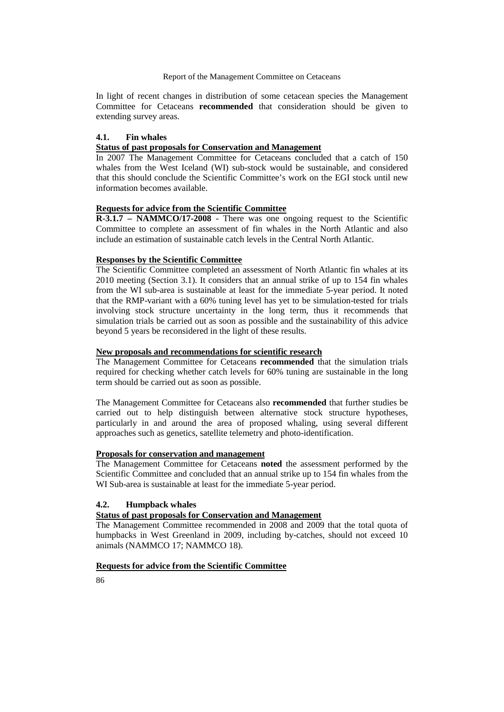In light of recent changes in distribution of some cetacean species the Management Committee for Cetaceans **recommended** that consideration should be given to extending survey areas.

## **4.1. Fin whales**

## **Status of past proposals for Conservation and Management**

In 2007 The Management Committee for Cetaceans concluded that a catch of 150 whales from the West Iceland (WI) sub-stock would be sustainable, and considered that this should conclude the Scientific Committee's work on the EGI stock until new information becomes available.

## **Requests for advice from the Scientific Committee**

**R-3.1.7 – NAMMCO/17-2008** - There was one ongoing request to the Scientific Committee to complete an assessment of fin whales in the North Atlantic and also include an estimation of sustainable catch levels in the Central North Atlantic.

### **Responses by the Scientific Committee**

The Scientific Committee completed an assessment of North Atlantic fin whales at its 2010 meeting (Section 3.1). It considers that an annual strike of up to 154 fin whales from the WI sub-area is sustainable at least for the immediate 5-year period. It noted that the RMP-variant with a 60% tuning level has yet to be simulation-tested for trials involving stock structure uncertainty in the long term, thus it recommends that simulation trials be carried out as soon as possible and the sustainability of this advice beyond 5 years be reconsidered in the light of these results.

#### **New proposals and recommendations for scientific research**

The Management Committee for Cetaceans **recommended** that the simulation trials required for checking whether catch levels for 60% tuning are sustainable in the long term should be carried out as soon as possible.

The Management Committee for Cetaceans also **recommended** that further studies be carried out to help distinguish between alternative stock structure hypotheses, particularly in and around the area of proposed whaling, using several different approaches such as genetics, satellite telemetry and photo-identification.

#### **Proposals for conservation and management**

The Management Committee for Cetaceans **noted** the assessment performed by the Scientific Committee and concluded that an annual strike up to 154 fin whales from the WI Sub-area is sustainable at least for the immediate 5-year period.

# **4.2. Humpback whales**

# **Status of past proposals for Conservation and Management**

The Management Committee recommended in 2008 and 2009 that the total quota of humpbacks in West Greenland in 2009, including by-catches, should not exceed 10 animals (NAMMCO 17; NAMMCO 18).

## **Requests for advice from the Scientific Committee**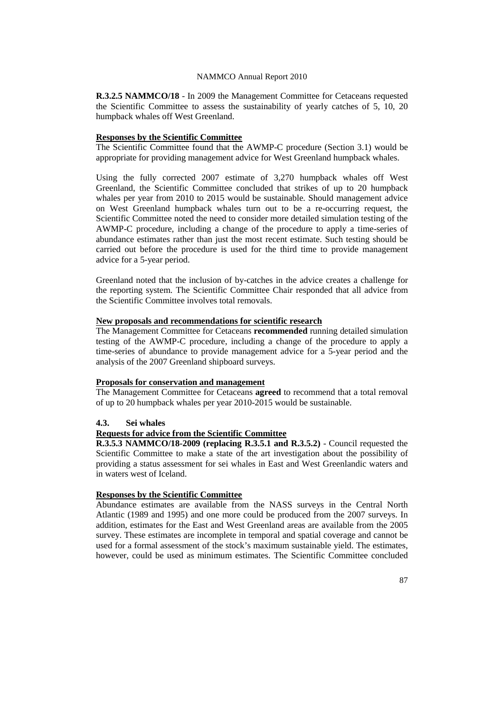**R.3.2.5 NAMMCO/18** - In 2009 the Management Committee for Cetaceans requested the Scientific Committee to assess the sustainability of yearly catches of 5, 10, 20 humpback whales off West Greenland.

## **Responses by the Scientific Committee**

The Scientific Committee found that the AWMP-C procedure (Section 3.1) would be appropriate for providing management advice for West Greenland humpback whales.

Using the fully corrected 2007 estimate of 3,270 humpback whales off West Greenland, the Scientific Committee concluded that strikes of up to 20 humpback whales per year from 2010 to 2015 would be sustainable. Should management advice on West Greenland humpback whales turn out to be a re-occurring request, the Scientific Committee noted the need to consider more detailed simulation testing of the AWMP-C procedure, including a change of the procedure to apply a time-series of abundance estimates rather than just the most recent estimate. Such testing should be carried out before the procedure is used for the third time to provide management advice for a 5-year period.

Greenland noted that the inclusion of by-catches in the advice creates a challenge for the reporting system. The Scientific Committee Chair responded that all advice from the Scientific Committee involves total removals.

#### **New proposals and recommendations for scientific research**

The Management Committee for Cetaceans **recommended** running detailed simulation testing of the AWMP-C procedure, including a change of the procedure to apply a time-series of abundance to provide management advice for a 5-year period and the analysis of the 2007 Greenland shipboard surveys.

## **Proposals for conservation and management**

The Management Committee for Cetaceans **agreed** to recommend that a total removal of up to 20 humpback whales per year 2010-2015 would be sustainable.

## **4.3. Sei whales**

# **Requests for advice from the Scientific Committee**

**R.3.5.3 NAMMCO/18-2009 (replacing R.3.5.1 and R.3.5.2)** - Council requested the Scientific Committee to make a state of the art investigation about the possibility of providing a status assessment for sei whales in East and West Greenlandic waters and in waters west of Iceland.

# **Responses by the Scientific Committee**

Abundance estimates are available from the NASS surveys in the Central North Atlantic (1989 and 1995) and one more could be produced from the 2007 surveys. In addition, estimates for the East and West Greenland areas are available from the 2005 survey. These estimates are incomplete in temporal and spatial coverage and cannot be used for a formal assessment of the stock's maximum sustainable yield. The estimates, however, could be used as minimum estimates. The Scientific Committee concluded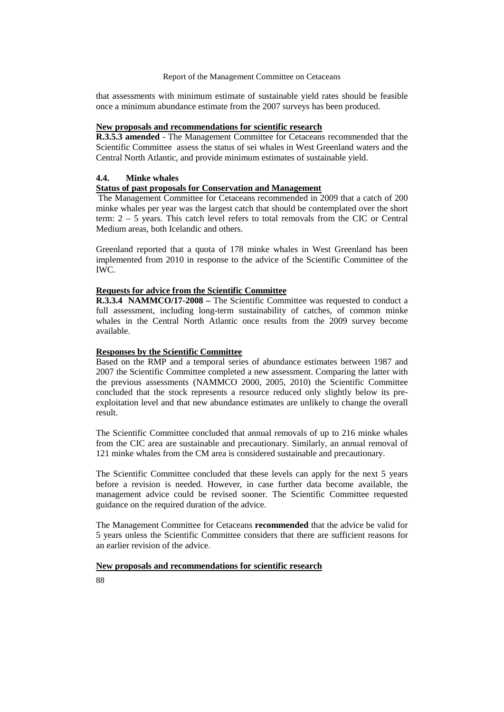that assessments with minimum estimate of sustainable yield rates should be feasible once a minimum abundance estimate from the 2007 surveys has been produced.

# **New proposals and recommendations for scientific research**

**R.3.5.3 amended** - The Management Committee for Cetaceans recommended that the Scientific Committee assess the status of sei whales in West Greenland waters and the Central North Atlantic, and provide minimum estimates of sustainable yield.

## **4.4. Minke whales**

## **Status of past proposals for Conservation and Management**

The Management Committee for Cetaceans recommended in 2009 that a catch of 200 minke whales per year was the largest catch that should be contemplated over the short term: 2 – 5 years. This catch level refers to total removals from the CIC or Central Medium areas, both Icelandic and others.

Greenland reported that a quota of 178 minke whales in West Greenland has been implemented from 2010 in response to the advice of the Scientific Committee of the IWC.

## **Requests for advice from the Scientific Committee**

**R.3.3.4 NAMMCO/17-2008 –** The Scientific Committee was requested to conduct a full assessment, including long-term sustainability of catches, of common minke whales in the Central North Atlantic once results from the 2009 survey become available.

## **Responses by the Scientific Committee**

Based on the RMP and a temporal series of abundance estimates between 1987 and 2007 the Scientific Committee completed a new assessment. Comparing the latter with the previous assessments (NAMMCO 2000, 2005, 2010) the Scientific Committee concluded that the stock represents a resource reduced only slightly below its preexploitation level and that new abundance estimates are unlikely to change the overall result.

The Scientific Committee concluded that annual removals of up to 216 minke whales from the CIC area are sustainable and precautionary. Similarly, an annual removal of 121 minke whales from the CM area is considered sustainable and precautionary.

The Scientific Committee concluded that these levels can apply for the next 5 years before a revision is needed. However, in case further data become available, the management advice could be revised sooner. The Scientific Committee requested guidance on the required duration of the advice.

The Management Committee for Cetaceans **recommended** that the advice be valid for 5 years unless the Scientific Committee considers that there are sufficient reasons for an earlier revision of the advice.

## **New proposals and recommendations for scientific research**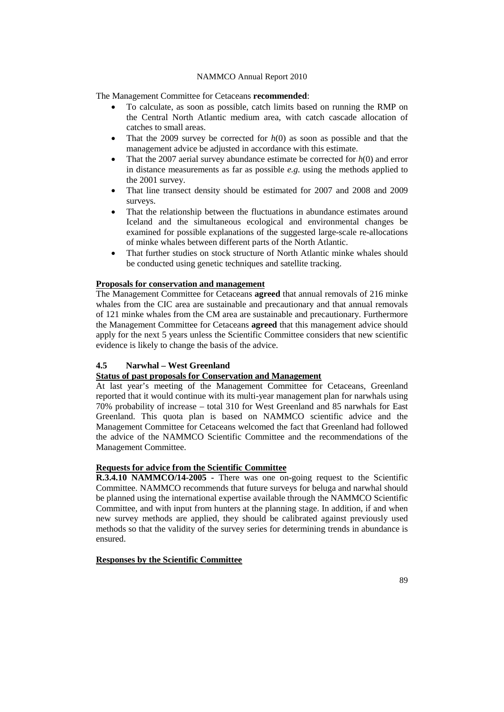The Management Committee for Cetaceans **recommended**:

- To calculate, as soon as possible, catch limits based on running the RMP on the Central North Atlantic medium area, with catch cascade allocation of catches to small areas.
- That the 2009 survey be corrected for  $h(0)$  as soon as possible and that the management advice be adjusted in accordance with this estimate.
- That the 2007 aerial survey abundance estimate be corrected for *h*(0) and error in distance measurements as far as possible *e.g.* using the methods applied to the 2001 survey.
- That line transect density should be estimated for 2007 and 2008 and 2009 surveys.
- That the relationship between the fluctuations in abundance estimates around Iceland and the simultaneous ecological and environmental changes be examined for possible explanations of the suggested large-scale re-allocations of minke whales between different parts of the North Atlantic.
- That further studies on stock structure of North Atlantic minke whales should be conducted using genetic techniques and satellite tracking.

## **Proposals for conservation and management**

The Management Committee for Cetaceans **agreed** that annual removals of 216 minke whales from the CIC area are sustainable and precautionary and that annual removals of 121 minke whales from the CM area are sustainable and precautionary. Furthermore the Management Committee for Cetaceans **agreed** that this management advice should apply for the next 5 years unless the Scientific Committee considers that new scientific evidence is likely to change the basis of the advice.

# **4.5 Narwhal – West Greenland**

# **Status of past proposals for Conservation and Management**

At last year's meeting of the Management Committee for Cetaceans, Greenland reported that it would continue with its multi-year management plan for narwhals using 70% probability of increase – total 310 for West Greenland and 85 narwhals for East Greenland. This quota plan is based on NAMMCO scientific advice and the Management Committee for Cetaceans welcomed the fact that Greenland had followed the advice of the NAMMCO Scientific Committee and the recommendations of the Management Committee.

## **Requests for advice from the Scientific Committee**

**R.3.4.10 NAMMCO/14-2005 -** There was one on-going request to the Scientific Committee. NAMMCO recommends that future surveys for beluga and narwhal should be planned using the international expertise available through the NAMMCO Scientific Committee, and with input from hunters at the planning stage. In addition, if and when new survey methods are applied, they should be calibrated against previously used methods so that the validity of the survey series for determining trends in abundance is ensured.

## **Responses by the Scientific Committee**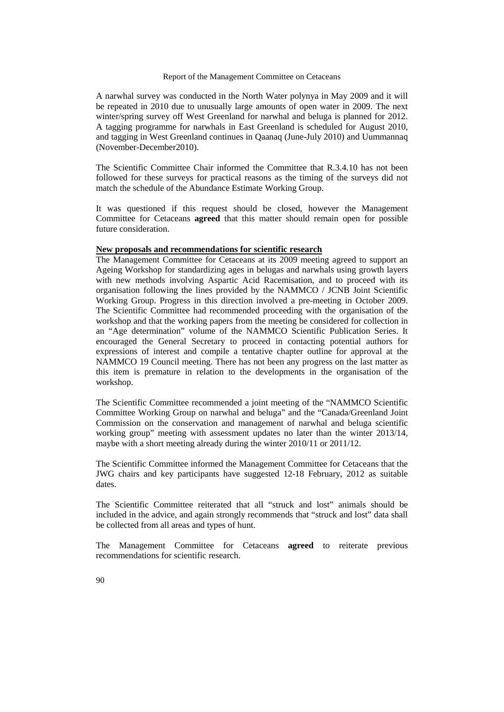A narwhal survey was conducted in the North Water polynya in May 2009 and it will be repeated in 2010 due to unusually large amounts of open water in 2009. The next winter/spring survey off West Greenland for narwhal and beluga is planned for 2012. A tagging programme for narwhals in East Greenland is scheduled for August 2010, and tagging in West Greenland continues in Qaanaq (June-July 2010) and Uummannaq (November-December2010).

The Scientific Committee Chair informed the Committee that R.3.4.10 has not been followed for these surveys for practical reasons as the timing of the surveys did not match the schedule of the Abundance Estimate Working Group.

It was questioned if this request should be closed, however the Management Committee for Cetaceans **agreed** that this matter should remain open for possible future consideration.

### **New proposals and recommendations for scientific research**

The Management Committee for Cetaceans at its 2009 meeting agreed to support an Ageing Workshop for standardizing ages in belugas and narwhals using growth layers with new methods involving Aspartic Acid Racemisation, and to proceed with its organisation following the lines provided by the NAMMCO / JCNB Joint Scientific Working Group. Progress in this direction involved a pre-meeting in October 2009. The Scientific Committee had recommended proceeding with the organisation of the workshop and that the working papers from the meeting be considered for collection in an "Age determination" volume of the NAMMCO Scientific Publication Series. It encouraged the General Secretary to proceed in contacting potential authors for expressions of interest and compile a tentative chapter outline for approval at the NAMMCO 19 Council meeting. There has not been any progress on the last matter as this item is premature in relation to the developments in the organisation of the workshop.

The Scientific Committee recommended a joint meeting of the "NAMMCO Scientific Committee Working Group on narwhal and beluga" and the "Canada/Greenland Joint Commission on the conservation and management of narwhal and beluga scientific working group" meeting with assessment updates no later than the winter 2013/14, maybe with a short meeting already during the winter 2010/11 or 2011/12.

The Scientific Committee informed the Management Committee for Cetaceans that the JWG chairs and key participants have suggested 12-18 February, 2012 as suitable dates.

The Scientific Committee reiterated that all "struck and lost" animals should be included in the advice, and again strongly recommends that "struck and lost" data shall be collected from all areas and types of hunt.

The Management Committee for Cetaceans **agreed** to reiterate previous recommendations for scientific research.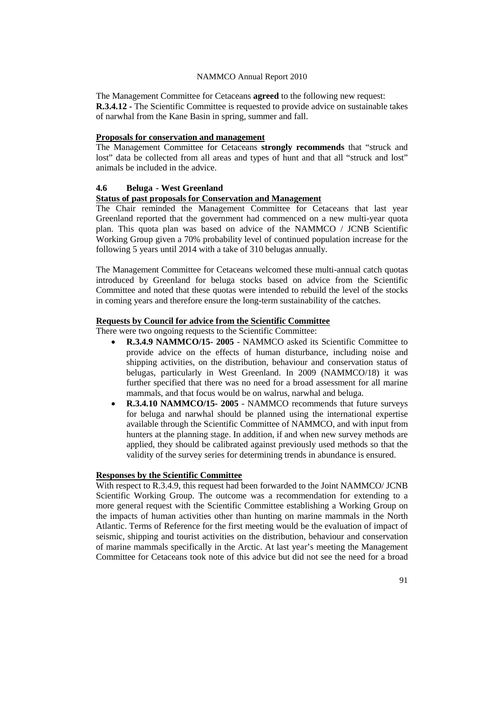The Management Committee for Cetaceans **agreed** to the following new request: **R.3.4.12 -** The Scientific Committee is requested to provide advice on sustainable takes of narwhal from the Kane Basin in spring, summer and fall.

## **Proposals for conservation and management**

The Management Committee for Cetaceans **strongly recommends** that "struck and lost" data be collected from all areas and types of hunt and that all "struck and lost" animals be included in the advice.

### **4.6 Beluga - West Greenland**

# **Status of past proposals for Conservation and Management**

The Chair reminded the Management Committee for Cetaceans that last year Greenland reported that the government had commenced on a new multi-year quota plan. This quota plan was based on advice of the NAMMCO / JCNB Scientific Working Group given a 70% probability level of continued population increase for the following 5 years until 2014 with a take of 310 belugas annually.

The Management Committee for Cetaceans welcomed these multi-annual catch quotas introduced by Greenland for beluga stocks based on advice from the Scientific Committee and noted that these quotas were intended to rebuild the level of the stocks in coming years and therefore ensure the long-term sustainability of the catches.

### **Requests by Council for advice from the Scientific Committee**

There were two ongoing requests to the Scientific Committee:

- **R.3.4.9 NAMMCO/15- 2005** NAMMCO asked its Scientific Committee to provide advice on the effects of human disturbance, including noise and shipping activities, on the distribution, behaviour and conservation status of belugas, particularly in West Greenland. In 2009 (NAMMCO/18) it was further specified that there was no need for a broad assessment for all marine mammals, and that focus would be on walrus, narwhal and beluga.
- **R.3.4.10 NAMMCO/15- 2005** NAMMCO recommends that future surveys for beluga and narwhal should be planned using the international expertise available through the Scientific Committee of NAMMCO, and with input from hunters at the planning stage. In addition, if and when new survey methods are applied, they should be calibrated against previously used methods so that the validity of the survey series for determining trends in abundance is ensured.

# **Responses by the Scientific Committee**

With respect to R.3.4.9, this request had been forwarded to the Joint NAMMCO/ JCNB Scientific Working Group. The outcome was a recommendation for extending to a more general request with the Scientific Committee establishing a Working Group on the impacts of human activities other than hunting on marine mammals in the North Atlantic. Terms of Reference for the first meeting would be the evaluation of impact of seismic, shipping and tourist activities on the distribution, behaviour and conservation of marine mammals specifically in the Arctic. At last year's meeting the Management Committee for Cetaceans took note of this advice but did not see the need for a broad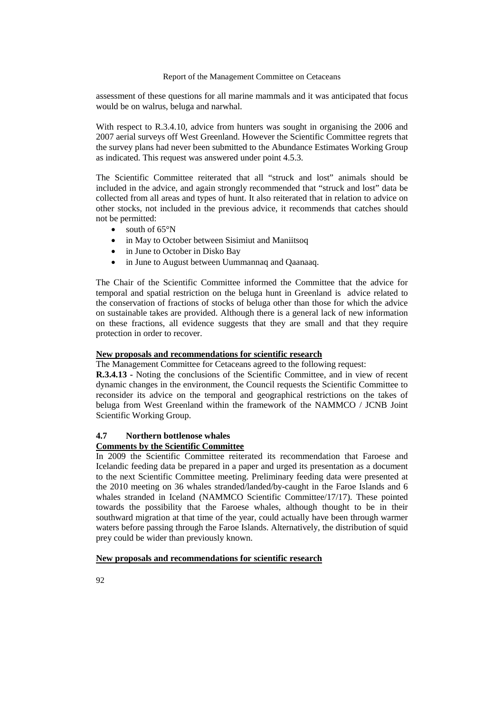assessment of these questions for all marine mammals and it was anticipated that focus would be on walrus, beluga and narwhal.

With respect to R.3.4.10, advice from hunters was sought in organising the 2006 and 2007 aerial surveys off West Greenland. However the Scientific Committee regrets that the survey plans had never been submitted to the Abundance Estimates Working Group as indicated. This request was answered under point 4.5.3.

The Scientific Committee reiterated that all "struck and lost" animals should be included in the advice, and again strongly recommended that "struck and lost" data be collected from all areas and types of hunt. It also reiterated that in relation to advice on other stocks, not included in the previous advice, it recommends that catches should not be permitted:

- south of 65°N
- in May to October between Sisimiut and Maniitsoq
- in June to October in Disko Bay
- in June to August between Uummannaq and Qaanaaq.

The Chair of the Scientific Committee informed the Committee that the advice for temporal and spatial restriction on the beluga hunt in Greenland is advice related to the conservation of fractions of stocks of beluga other than those for which the advice on sustainable takes are provided. Although there is a general lack of new information on these fractions, all evidence suggests that they are small and that they require protection in order to recover.

## **New proposals and recommendations for scientific research**

The Management Committee for Cetaceans agreed to the following request:

**R.3.4.13 -** Noting the conclusions of the Scientific Committee, and in view of recent dynamic changes in the environment, the Council requests the Scientific Committee to reconsider its advice on the temporal and geographical restrictions on the takes of beluga from West Greenland within the framework of the NAMMCO / JCNB Joint Scientific Working Group.

## **4.7 Northern bottlenose whales**

## **Comments by the Scientific Committee**

In 2009 the Scientific Committee reiterated its recommendation that Faroese and Icelandic feeding data be prepared in a paper and urged its presentation as a document to the next Scientific Committee meeting. Preliminary feeding data were presented at the 2010 meeting on 36 whales stranded/landed/by-caught in the Faroe Islands and 6 whales stranded in Iceland (NAMMCO Scientific Committee/17/17). These pointed towards the possibility that the Faroese whales, although thought to be in their southward migration at that time of the year, could actually have been through warmer waters before passing through the Faroe Islands. Alternatively, the distribution of squid prey could be wider than previously known.

#### **New proposals and recommendations for scientific research**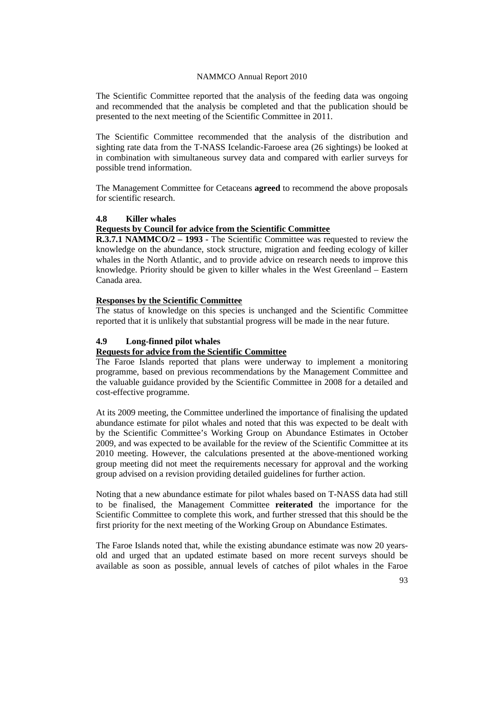The Scientific Committee reported that the analysis of the feeding data was ongoing and recommended that the analysis be completed and that the publication should be presented to the next meeting of the Scientific Committee in 2011.

The Scientific Committee recommended that the analysis of the distribution and sighting rate data from the T-NASS Icelandic-Faroese area (26 sightings) be looked at in combination with simultaneous survey data and compared with earlier surveys for possible trend information.

The Management Committee for Cetaceans **agreed** to recommend the above proposals for scientific research.

## **4.8 Killer whales**

## **Requests by Council for advice from the Scientific Committee**

**R.3.7.1 NAMMCO/2 – 1993 -** The Scientific Committee was requested to review the knowledge on the abundance, stock structure, migration and feeding ecology of killer whales in the North Atlantic, and to provide advice on research needs to improve this knowledge. Priority should be given to killer whales in the West Greenland – Eastern Canada area.

## **Responses by the Scientific Committee**

The status of knowledge on this species is unchanged and the Scientific Committee reported that it is unlikely that substantial progress will be made in the near future.

## **4.9 Long-finned pilot whales**

## **Requests for advice from the Scientific Committee**

The Faroe Islands reported that plans were underway to implement a monitoring programme, based on previous recommendations by the Management Committee and the valuable guidance provided by the Scientific Committee in 2008 for a detailed and cost-effective programme.

At its 2009 meeting, the Committee underlined the importance of finalising the updated abundance estimate for pilot whales and noted that this was expected to be dealt with by the Scientific Committee's Working Group on Abundance Estimates in October 2009, and was expected to be available for the review of the Scientific Committee at its 2010 meeting. However, the calculations presented at the above-mentioned working group meeting did not meet the requirements necessary for approval and the working group advised on a revision providing detailed guidelines for further action.

Noting that a new abundance estimate for pilot whales based on T-NASS data had still to be finalised, the Management Committee **reiterated** the importance for the Scientific Committee to complete this work, and further stressed that this should be the first priority for the next meeting of the Working Group on Abundance Estimates.

The Faroe Islands noted that, while the existing abundance estimate was now 20 yearsold and urged that an updated estimate based on more recent surveys should be available as soon as possible, annual levels of catches of pilot whales in the Faroe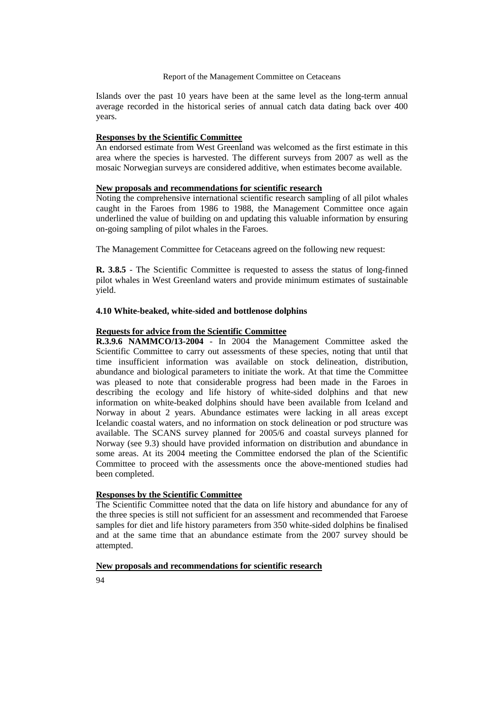Islands over the past 10 years have been at the same level as the long-term annual average recorded in the historical series of annual catch data dating back over 400 years.

#### **Responses by the Scientific Committee**

An endorsed estimate from West Greenland was welcomed as the first estimate in this area where the species is harvested. The different surveys from 2007 as well as the mosaic Norwegian surveys are considered additive, when estimates become available.

## **New proposals and recommendations for scientific research**

Noting the comprehensive international scientific research sampling of all pilot whales caught in the Faroes from 1986 to 1988, the Management Committee once again underlined the value of building on and updating this valuable information by ensuring on-going sampling of pilot whales in the Faroes.

The Management Committee for Cetaceans agreed on the following new request:

**R. 3.8.5** - The Scientific Committee is requested to assess the status of long-finned pilot whales in West Greenland waters and provide minimum estimates of sustainable yield.

### **4.10 White-beaked, white-sided and bottlenose dolphins**

## **Requests for advice from the Scientific Committee**

**R.3.9.6 NAMMCO/13-2004** - In 2004 the Management Committee asked the Scientific Committee to carry out assessments of these species, noting that until that time insufficient information was available on stock delineation, distribution, abundance and biological parameters to initiate the work. At that time the Committee was pleased to note that considerable progress had been made in the Faroes in describing the ecology and life history of white-sided dolphins and that new information on white-beaked dolphins should have been available from Iceland and Norway in about 2 years. Abundance estimates were lacking in all areas except Icelandic coastal waters, and no information on stock delineation or pod structure was available. The SCANS survey planned for 2005/6 and coastal surveys planned for Norway (see 9.3) should have provided information on distribution and abundance in some areas. At its 2004 meeting the Committee endorsed the plan of the Scientific Committee to proceed with the assessments once the above-mentioned studies had been completed.

# **Responses by the Scientific Committee**

The Scientific Committee noted that the data on life history and abundance for any of the three species is still not sufficient for an assessment and recommended that Faroese samples for diet and life history parameters from 350 white-sided dolphins be finalised and at the same time that an abundance estimate from the 2007 survey should be attempted.

#### **New proposals and recommendations for scientific research**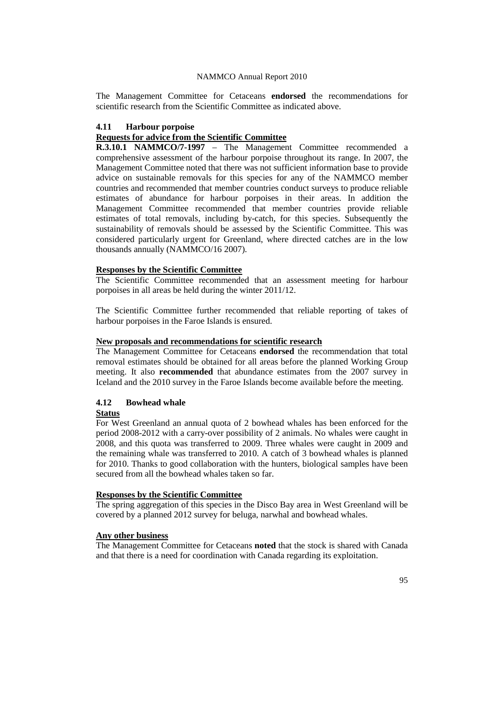The Management Committee for Cetaceans **endorsed** the recommendations for scientific research from the Scientific Committee as indicated above.

#### **4.11 Harbour porpoise**

## **Requests for advice from the Scientific Committee**

**R.3.10.1 NAMMCO/7-1997** – The Management Committee recommended a comprehensive assessment of the harbour porpoise throughout its range. In 2007, the Management Committee noted that there was not sufficient information base to provide advice on sustainable removals for this species for any of the NAMMCO member countries and recommended that member countries conduct surveys to produce reliable estimates of abundance for harbour porpoises in their areas. In addition the Management Committee recommended that member countries provide reliable estimates of total removals, including by-catch, for this species. Subsequently the sustainability of removals should be assessed by the Scientific Committee. This was considered particularly urgent for Greenland, where directed catches are in the low thousands annually (NAMMCO/16 2007).

#### **Responses by the Scientific Committee**

The Scientific Committee recommended that an assessment meeting for harbour porpoises in all areas be held during the winter 2011/12.

The Scientific Committee further recommended that reliable reporting of takes of harbour porpoises in the Faroe Islands is ensured.

#### **New proposals and recommendations for scientific research**

The Management Committee for Cetaceans **endorsed** the recommendation that total removal estimates should be obtained for all areas before the planned Working Group meeting. It also **recommended** that abundance estimates from the 2007 survey in Iceland and the 2010 survey in the Faroe Islands become available before the meeting.

# **4.12 Bowhead whale**

#### **Status**

For West Greenland an annual quota of 2 bowhead whales has been enforced for the period 2008-2012 with a carry-over possibility of 2 animals. No whales were caught in 2008, and this quota was transferred to 2009. Three whales were caught in 2009 and the remaining whale was transferred to 2010. A catch of 3 bowhead whales is planned for 2010. Thanks to good collaboration with the hunters, biological samples have been secured from all the bowhead whales taken so far.

# **Responses by the Scientific Committee**

The spring aggregation of this species in the Disco Bay area in West Greenland will be covered by a planned 2012 survey for beluga, narwhal and bowhead whales.

#### **Any other business**

The Management Committee for Cetaceans **noted** that the stock is shared with Canada and that there is a need for coordination with Canada regarding its exploitation.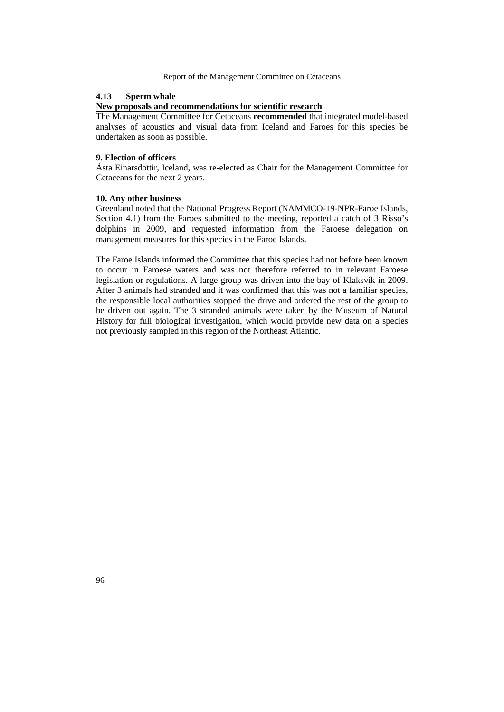## **4.13 Sperm whale**

## **New proposals and recommendations for scientific research**

The Management Committee for Cetaceans **recommended** that integrated model-based analyses of acoustics and visual data from Iceland and Faroes for this species be undertaken as soon as possible.

#### **9. Election of officers**

Ásta Einarsdottir, Iceland, was re-elected as Chair for the Management Committee for Cetaceans for the next 2 years.

### **10. Any other business**

Greenland noted that the National Progress Report (NAMMCO-19-NPR-Faroe Islands, Section 4.1) from the Faroes submitted to the meeting, reported a catch of 3 Risso's dolphins in 2009, and requested information from the Faroese delegation on management measures for this species in the Faroe Islands.

The Faroe Islands informed the Committee that this species had not before been known to occur in Faroese waters and was not therefore referred to in relevant Faroese legislation or regulations. A large group was driven into the bay of Klaksvík in 2009. After 3 animals had stranded and it was confirmed that this was not a familiar species, the responsible local authorities stopped the drive and ordered the rest of the group to be driven out again. The 3 stranded animals were taken by the Museum of Natural History for full biological investigation, which would provide new data on a species not previously sampled in this region of the Northeast Atlantic.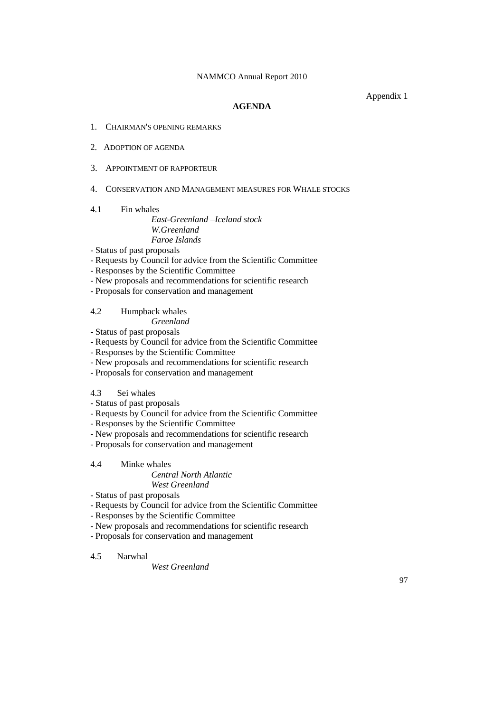Appendix 1

## **AGENDA**

- 1. CHAIRMAN'S OPENING REMARKS
- 2. ADOPTION OF AGENDA
- 3. APPOINTMENT OF RAPPORTEUR
- 4. CONSERVATION AND MANAGEMENT MEASURES FOR WHALE STOCKS

## 4.1 Fin whales

# *East-Greenland –Iceland stock W.Greenland Faroe Islands*

- Status of past proposals
- Requests by Council for advice from the Scientific Committee
- Responses by the Scientific Committee
- New proposals and recommendations for scientific research
- Proposals for conservation and management

4.2 Humpback whales *Greenland*

- Status of past proposals
- Requests by Council for advice from the Scientific Committee
- Responses by the Scientific Committee
- New proposals and recommendations for scientific research
- Proposals for conservation and management

## 4.3 Sei whales

- Status of past proposals
- Requests by Council for advice from the Scientific Committee
- Responses by the Scientific Committee
- New proposals and recommendations for scientific research
- Proposals for conservation and management

## 4.4 Minke whales

# *Central North Atlantic*

# *West Greenland*

- Status of past proposals
- Requests by Council for advice from the Scientific Committee
- Responses by the Scientific Committee
- New proposals and recommendations for scientific research
- Proposals for conservation and management

## 4.5 Narwhal

## *West Greenland*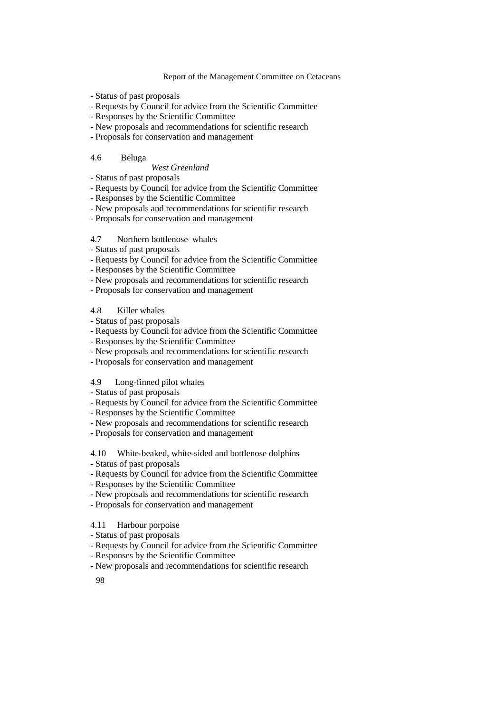- Status of past proposals
- Requests by Council for advice from the Scientific Committee
- Responses by the Scientific Committee
- New proposals and recommendations for scientific research
- Proposals for conservation and management

#### 4.6 Beluga

# *West Greenland*

- Status of past proposals
- Requests by Council for advice from the Scientific Committee
- Responses by the Scientific Committee
- New proposals and recommendations for scientific research
- Proposals for conservation and management
- 4.7 Northern bottlenose whales
- Status of past proposals
- Requests by Council for advice from the Scientific Committee
- Responses by the Scientific Committee
- New proposals and recommendations for scientific research
- Proposals for conservation and management

## 4.8 Killer whales

- Status of past proposals
- Requests by Council for advice from the Scientific Committee
- Responses by the Scientific Committee
- New proposals and recommendations for scientific research
- Proposals for conservation and management

#### 4.9 Long-finned pilot whales

- Status of past proposals
- Requests by Council for advice from the Scientific Committee
- Responses by the Scientific Committee
- New proposals and recommendations for scientific research
- Proposals for conservation and management

4.10 White-beaked, white-sided and bottlenose dolphins

- Status of past proposals
- Requests by Council for advice from the Scientific Committee
- Responses by the Scientific Committee
- New proposals and recommendations for scientific research
- Proposals for conservation and management

## 4.11 Harbour porpoise

- Status of past proposals
- Requests by Council for advice from the Scientific Committee
- Responses by the Scientific Committee
- New proposals and recommendations for scientific research

98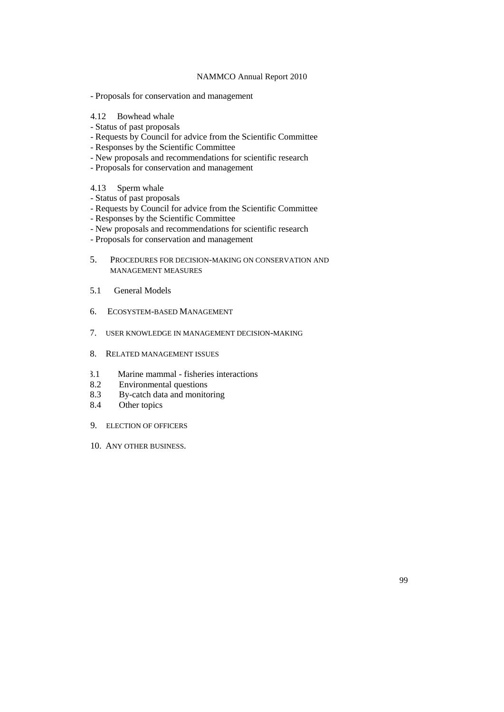- Proposals for conservation and management
- 4.12 Bowhead whale
- Status of past proposals
- Requests by Council for advice from the Scientific Committee
- Responses by the Scientific Committee
- New proposals and recommendations for scientific research
- Proposals for conservation and management
- 4.13 Sperm whale
- Status of past proposals
- Requests by Council for advice from the Scientific Committee
- Responses by the Scientific Committee
- New proposals and recommendations for scientific research
- Proposals for conservation and management
- 5. PROCEDURES FOR DECISION-MAKING ON CONSERVATION AND MANAGEMENT MEASURES
- 5.1 General Models
- 6. ECOSYSTEM-BASED MANAGEMENT
- 7. USER KNOWLEDGE IN MANAGEMENT DECISION-MAKING
- 8. RELATED MANAGEMENT ISSUES
- 8.1 Marine mammal fisheries interactions
- 8.2 Environmental questions<br>8.3 By-catch data and monite
- 8.3 By-catch data and monitoring<br>8.4 Other topics
- Other topics
- 9. ELECTION OF OFFICERS
- 10. ANY OTHER BUSINESS.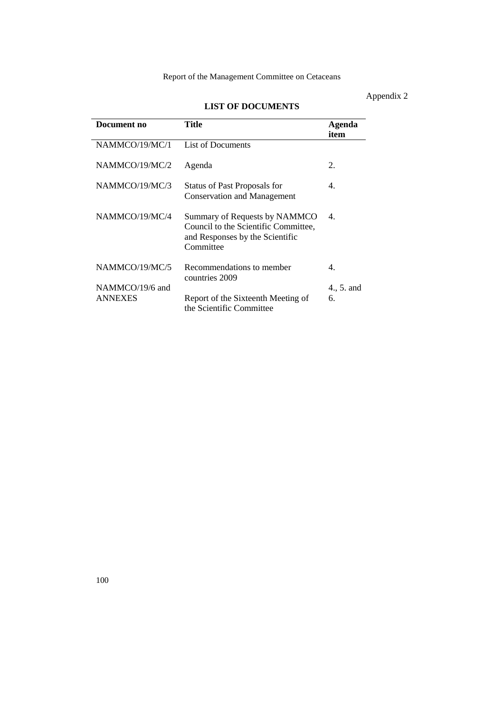# Appendix 2

| Document no     | Title                                                                                                                 | Agenda<br>item |
|-----------------|-----------------------------------------------------------------------------------------------------------------------|----------------|
| NAMMCO/19/MC/1  | List of Documents                                                                                                     |                |
| NAMMCO/19/MC/2  | Agenda                                                                                                                | 2.             |
| NAMMCO/19/MC/3  | Status of Past Proposals for<br><b>Conservation and Management</b>                                                    | 4.             |
| NAMMCO/19/MC/4  | Summary of Requests by NAMMCO<br>Council to the Scientific Committee,<br>and Responses by the Scientific<br>Committee | 4.             |
| NAMMCO/19/MC/5  | Recommendations to member<br>countries 2009                                                                           | 4.             |
| NAMMCO/19/6 and |                                                                                                                       | 4., 5. and     |
| <b>ANNEXES</b>  | Report of the Sixteenth Meeting of<br>the Scientific Committee                                                        | 6.             |

# **LIST OF DOCUMENTS**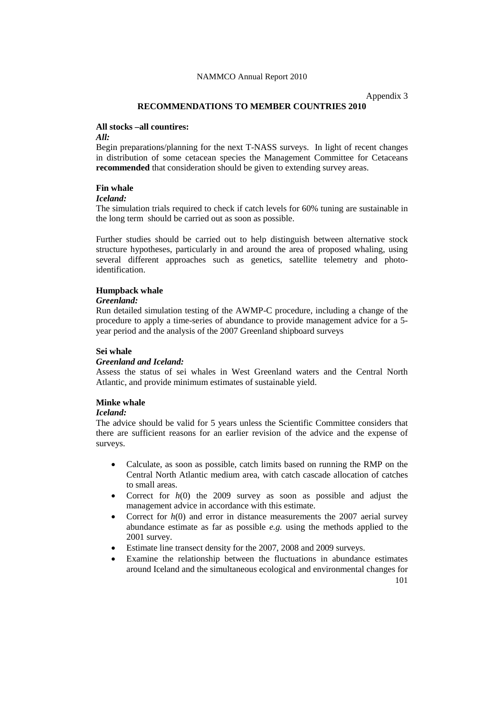Appendix 3

## **RECOMMENDATIONS TO MEMBER COUNTRIES 2010**

## **All stocks –all countires:**

*All:*

Begin preparations/planning for the next T-NASS surveys. In light of recent changes in distribution of some cetacean species the Management Committee for Cetaceans **recommended** that consideration should be given to extending survey areas.

## **Fin whale**

# *Iceland:*

The simulation trials required to check if catch levels for 60% tuning are sustainable in the long term should be carried out as soon as possible.

Further studies should be carried out to help distinguish between alternative stock structure hypotheses, particularly in and around the area of proposed whaling, using several different approaches such as genetics, satellite telemetry and photoidentification.

#### **Humpback whale**

## *Greenland:*

Run detailed simulation testing of the AWMP-C procedure, including a change of the procedure to apply a time-series of abundance to provide management advice for a 5 year period and the analysis of the 2007 Greenland shipboard surveys

#### **Sei whale**

## *Greenland and Iceland:*

Assess the status of sei whales in West Greenland waters and the Central North Atlantic, and provide minimum estimates of sustainable yield.

## **Minke whale**

#### *Iceland:*

The advice should be valid for 5 years unless the Scientific Committee considers that there are sufficient reasons for an earlier revision of the advice and the expense of surveys.

- Calculate, as soon as possible, catch limits based on running the RMP on the Central North Atlantic medium area, with catch cascade allocation of catches to small areas.
- Correct for *h*(0) the 2009 survey as soon as possible and adjust the management advice in accordance with this estimate.
- Correct for  $h(0)$  and error in distance measurements the 2007 aerial survey abundance estimate as far as possible *e.g.* using the methods applied to the 2001 survey.
- Estimate line transect density for the 2007, 2008 and 2009 surveys.
- Examine the relationship between the fluctuations in abundance estimates around Iceland and the simultaneous ecological and environmental changes for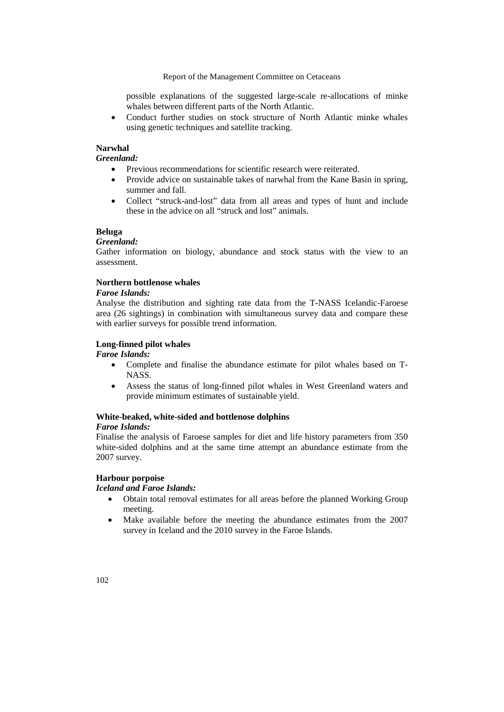possible explanations of the suggested large-scale re-allocations of minke whales between different parts of the North Atlantic.

• Conduct further studies on stock structure of North Atlantic minke whales using genetic techniques and satellite tracking.

#### **Narwhal**

*Greenland:*

- Previous recommendations for scientific research were reiterated.
- Provide advice on sustainable takes of narwhal from the Kane Basin in spring, summer and fall.
- Collect "struck-and-lost" data from all areas and types of hunt and include these in the advice on all "struck and lost" animals.

### **Beluga**

### *Greenland:*

Gather information on biology, abundance and stock status with the view to an assessment.

# **Northern bottlenose whales**

## *Faroe Islands:*

Analyse the distribution and sighting rate data from the T-NASS Icelandic-Faroese area (26 sightings) in combination with simultaneous survey data and compare these with earlier surveys for possible trend information.

## **Long-finned pilot whales**

*Faroe Islands:*

- Complete and finalise the abundance estimate for pilot whales based on T-NASS.
- Assess the status of long-finned pilot whales in West Greenland waters and provide minimum estimates of sustainable yield.

# **White-beaked, white-sided and bottlenose dolphins**

## *Faroe Islands:*

Finalise the analysis of Faroese samples for diet and life history parameters from 350 white-sided dolphins and at the same time attempt an abundance estimate from the 2007 survey.

## **Harbour porpoise**

# *Iceland and Faroe Islands:*

- Obtain total removal estimates for all areas before the planned Working Group meeting.
- Make available before the meeting the abundance estimates from the 2007 survey in Iceland and the 2010 survey in the Faroe Islands.